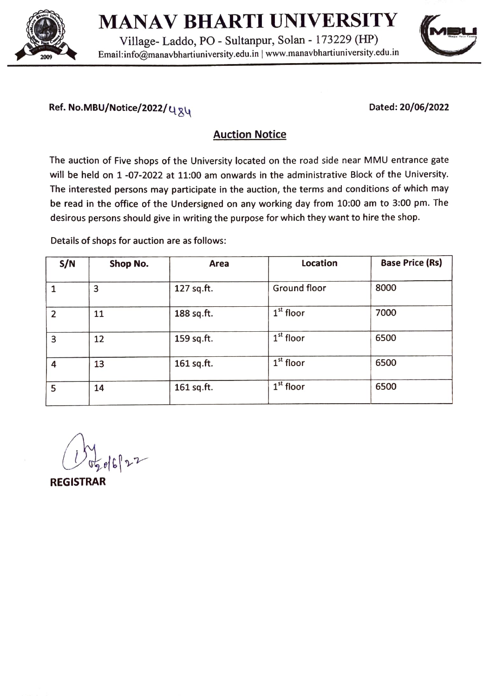

## MANAV BHARTI UNIVERSITY AINAV DHANII UINIVEINSIII<br>Village- Laddo, PO - Sultanpur, Solan - 173229 (HP)

Email:info@manavbhartiuniversity.edu.in | www.manavbhartiuniversity.edu.in 2009



## Ref. No.MBU/Notice/2022/ $u_{\overline{x}u}$  extending the Dated: 20/06/2022

## Auction Notice

The auction of Five shops of the University located on the road side near MMU entrance gate will be held on 1 -07-2022 at 11:00 am onwards in the administrative Block of the University. The interested persons may participate in the auction, the terms and conditions of which may be read in the office of the Undersigned on any working day from 10:00 am to 3:00 pm. The desirous persons should give in writing the purpose for which they want to hire the shop.

Details of shops for auction are as follows:

| S/N            | Shop No. | Area       | Location     | <b>Base Price (Rs)</b> |
|----------------|----------|------------|--------------|------------------------|
|                |          |            |              |                        |
|                | з        | 127 sq.ft. | Ground floor | 8000                   |
| $\overline{2}$ | 11       | 188 sq.ft. | $1st$ floor  | 7000                   |
| 3              | 12       | 159 sq.ft. | $1st$ floor  | 6500                   |
| 4              | 13       | 161 sq.ft. | $1st$ floor  | 6500                   |
| 5              | 14       | 161 sq.ft. | $1st$ floor  | 6500                   |

REGISTRAR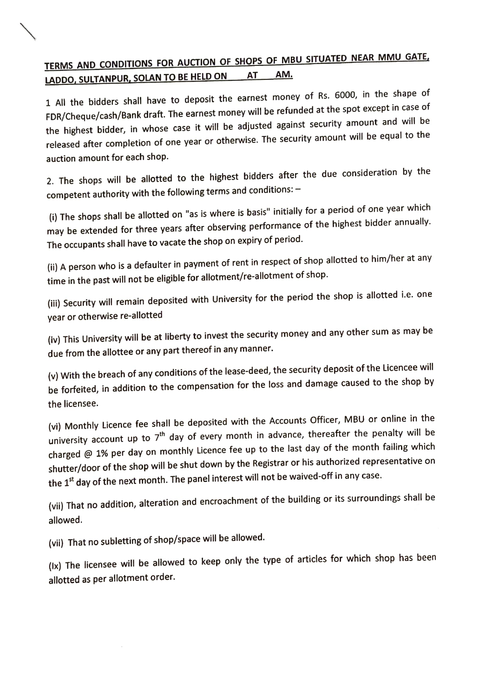## TERMS AND CONDITIONS FOR AUCTION OF SHOPS OF MBU SITUATED NEAR MMU GATE, LADDO, SULTANPUR, SOLAN TO BE HELD ON

1 All the bidders shall have to deposit the earnest money of Rs. 6000, in the shape of FDR/Cheque/cash/Bank draft. The earnest money will be refunded at the spot except in case of the highest bidder, in whose case it will be adjusted against security amount and will be released after completion of one year or otherwise. The security amount will be equal to the auction amount for each shop.

2. The shops will be allotted to the highest bidders after the due consideration by the competent authority with the following terms and conditions:

i) The shops shall be allotted on "as is where is basis" initially for a period of one year which may be extended for three years after observing performance of the highest bidder annually. The occupants shall have to vacate the shop on expiry of period.

(i) A person who is a defaulter in payment of rent in respect of shop allotted to him/her at any time in the past will not be eligible for allotment/re-allotment of shop.

(ii) Security will remain deposited with University for the period the shop is allotted i.e. one year or otherwise re-allotted

(iv) This University will be at liberty to invest the security money and any other sum as may be due from the allottee or any part thereof in any manner.

(v) With the breach of any conditions of the lease-deed, the security deposit of the Licencee will be forfeited, in addition to the compensation for the loss and damage caused to the shop by the licensee.

(vi) Monthly Licence fee shall be deposited with the Accounts Officer, MBU or online in the university account up to  $7<sup>th</sup>$  day of every month in advance, thereafter the penalty will be charged @ 1% per day on monthly Licence fee up to the last day of the month failing which shutter/door of the shop will be shut down by the Registrar or his authorized representative on the 1<sup>st</sup> day of the next month. The panel interest will not be waived-off in any case.

(vii) That no addition, alteration and encroachment of the building or its surroundings shall be allowed.

(vii) That no subletting of shop/space will be allowed.

(Ix) The licensee will be allowed to keep only the type of articles for which shop has been allotted as per allotment order.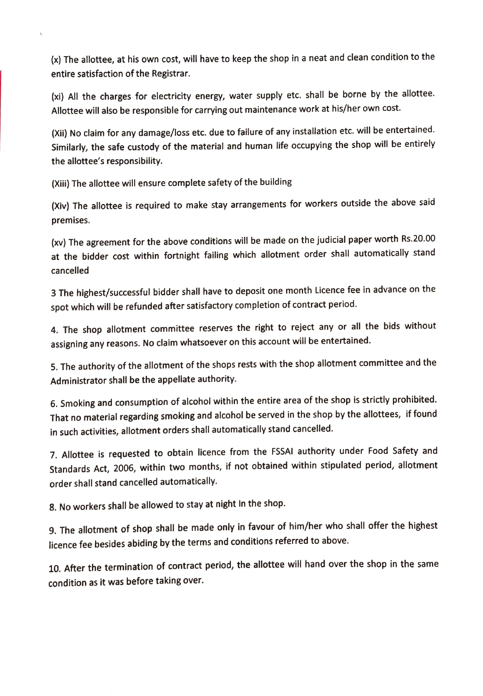x) The allottee, at his own cost, will have to keep the shop in a neat and clean condition to the entire satisfaction of the Registrar.

(xi) All the charges for electricity energy, water supply etc. shall be borne by the allottee. Allottee will also be responsible for carrying out maintenance work at his/her own cost.

(Xii) No claim for any damage/loss etc. due to failure of any installation etc. will be entertained. Similarly, the safe custody of the material and human life occupying the shop will be entirely the allottee's responsibility.

(Xii) The allottee will ensure complete safety of the building

 $\epsilon$ 

(Xiv) The allottee is required to make stay arrangements for workers outside the above said premises.

(xv) The agreement for the above conditions will be made on the judicial paper worth Rs.20.00 at the bidder cost within fortnight failing which allotment order shall automatically stand cancelled

3 The highest/successful bidder shall have to deposit one month Licence fee in advance on the spot which will be refunded after satisfactory completion of contract period.

4. The shop allotment committee reserves the right to reject any or all the bids without assigning any reasons. No claim whatsoever on this account will be entertained.

5. The authority of the allotment of the shops rests with the shop allotment committee and the Administrator shall be the appellate authority.

6. Smoking and consumption of alcohol within the entire area of the shop is strictly prohibited. That no material regarding smoking and alcohol be served in the shop by the allottees, if found in such activities, allotment orders shall automatically stand cancelled.

7. Allottee is requested to obtain licence from the FSSAI authority under Food Safety and Standards Act, 2006, within two months, if not obtained within stipulated period, allotment order shall stand cancelled automatically.

8. No workers shall be allowed to stay at night In the shop.

9. The allotment of shop shall be made only in favour of him/her who shall offer the highest licence fee besides abiding by the terms and conditions referred to above.

10. After the termination of contract period, the allottee will hand over the shop in the same condition as it was before taking over